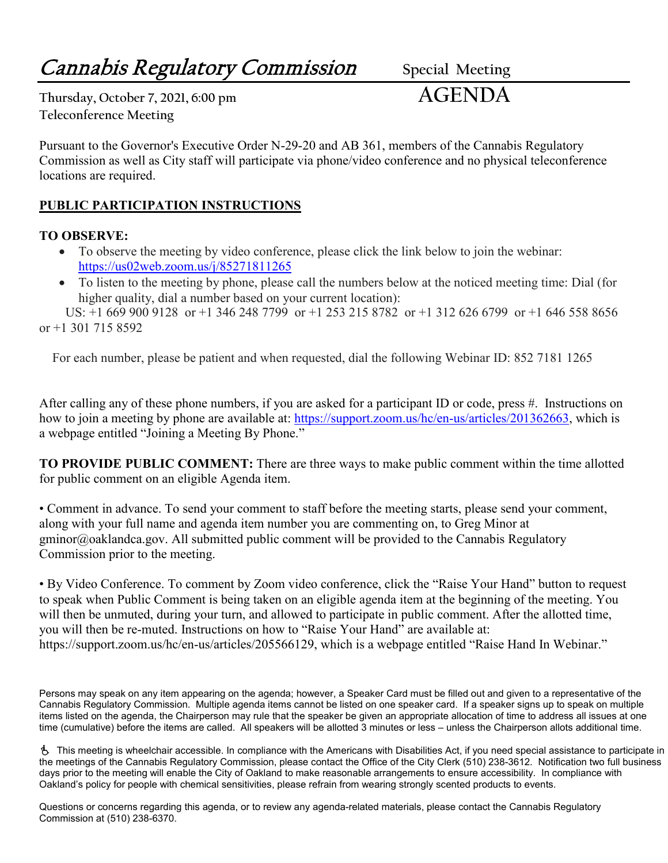# **Cannabis Regulatory Commission** Special Meeting

**Thursday, October 7, 2021, 6:00 pm AGENDA Teleconference Meeting**

Pursuant to the Governor's Executive Order N-29-20 and AB 361, members of the Cannabis Regulatory Commission as well as City staff will participate via phone/video conference and no physical teleconference locations are required.

### **PUBLIC PARTICIPATION INSTRUCTIONS**

#### **TO OBSERVE:**

- To observe the meeting by video conference, please click the link below to join the webinar: <https://us02web.zoom.us/j/85271811265>
- To listen to the meeting by phone, please call the numbers below at the noticed meeting time: Dial (for higher quality, dial a number based on your current location):

 US: +1 669 900 9128 or +1 346 248 7799 or +1 253 215 8782 or +1 312 626 6799 or +1 646 558 8656 or +1 301 715 8592

For each number, please be patient and when requested, dial the following Webinar ID: 852 7181 1265

After calling any of these phone numbers, if you are asked for a participant ID or code, press #. Instructions on how to join a meeting by phone are available at: [https://support.zoom.us/hc/en-us/articles/201362663,](https://support.zoom.us/hc/en-us/articles/201362663) which is a webpage entitled "Joining a Meeting By Phone."

**TO PROVIDE PUBLIC COMMENT:** There are three ways to make public comment within the time allotted for public comment on an eligible Agenda item.

• Comment in advance. To send your comment to staff before the meeting starts, please send your comment, along with your full name and agenda item number you are commenting on, to Greg Minor at gminor@oaklandca.gov. All submitted public comment will be provided to the Cannabis Regulatory Commission prior to the meeting.

• By Video Conference. To comment by Zoom video conference, click the "Raise Your Hand" button to request to speak when Public Comment is being taken on an eligible agenda item at the beginning of the meeting. You will then be unmuted, during your turn, and allowed to participate in public comment. After the allotted time, you will then be re-muted. Instructions on how to "Raise Your Hand" are available at: https://support.zoom.us/hc/en-us/articles/205566129, which is a webpage entitled "Raise Hand In Webinar."

Persons may speak on any item appearing on the agenda; however, a Speaker Card must be filled out and given to a representative of the Cannabis Regulatory Commission. Multiple agenda items cannot be listed on one speaker card. If a speaker signs up to speak on multiple items listed on the agenda, the Chairperson may rule that the speaker be given an appropriate allocation of time to address all issues at one time (cumulative) before the items are called. All speakers will be allotted 3 minutes or less – unless the Chairperson allots additional time.

 This meeting is wheelchair accessible. In compliance with the Americans with Disabilities Act, if you need special assistance to participate in the meetings of the Cannabis Regulatory Commission, please contact the Office of the City Clerk (510) 238-3612. Notification two full business days prior to the meeting will enable the City of Oakland to make reasonable arrangements to ensure accessibility. In compliance with Oakland's policy for people with chemical sensitivities, please refrain from wearing strongly scented products to events.

Questions or concerns regarding this agenda, or to review any agenda-related materials, please contact the Cannabis Regulatory Commission at (510) 238-6370.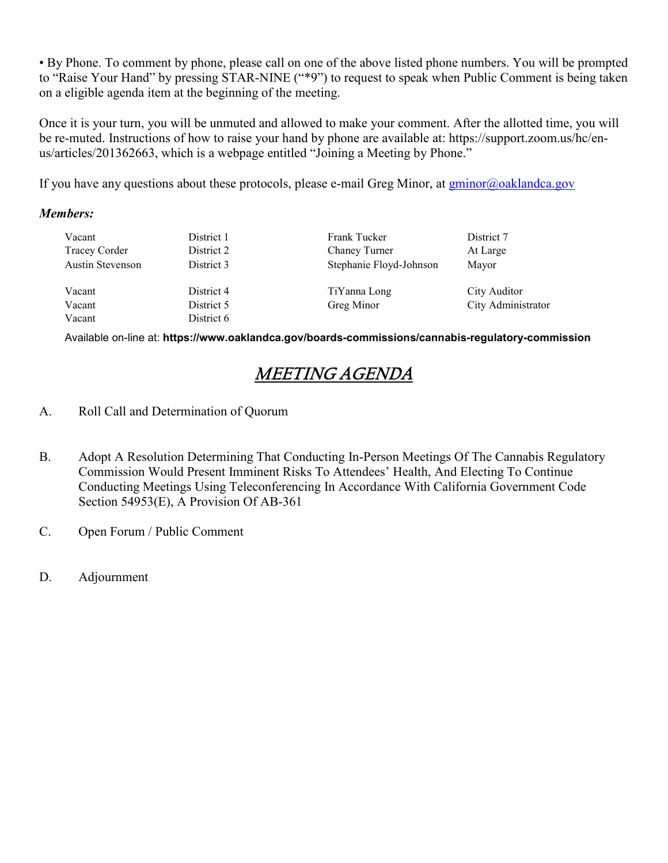• By Phone. To comment by phone, please call on one of the above listed phone numbers. You will be prompted to "Raise Your Hand" by pressing STAR-NINE ("\*9") to request to speak when Public Comment is being taken on a eligible agenda item at the beginning of the meeting.

Once it is your turn, you will be unmuted and allowed to make your comment. After the allotted time, you will be re-muted. Instructions of how to raise your hand by phone are available at: https://support.zoom.us/hc/enus/articles/201362663, which is a webpage entitled "Joining a Meeting by Phone."

If you have any questions about these protocols, please e-mail Greg Minor, at  $gminor(a)$ oaklandca.gov

#### *Members:*

| Vacant           | District 1 | Frank Tucker            | District 7         |
|------------------|------------|-------------------------|--------------------|
| Tracey Corder    | District 2 | Chaney Turner           | At Large           |
| Austin Stevenson | District 3 | Stephanie Floyd-Johnson | Mayor              |
| Vacant           | District 4 | TiYanna Long            | City Auditor       |
| Vacant           | District 5 | Greg Minor              | City Administrator |
| Vacant           | District 6 |                         |                    |

Available on-line at: **https://www.oaklandca.gov/boards-commissions/cannabis-regulatory-commission**

### MEETING AGENDA

- A. Roll Call and Determination of Quorum
- B. Adopt A Resolution Determining That Conducting In-Person Meetings Of The Cannabis Regulatory Commission Would Present Imminent Risks To Attendees' Health, And Electing To Continue Conducting Meetings Using Teleconferencing In Accordance With California Government Code Section 54953(E), A Provision Of AB-361
- C. Open Forum / Public Comment
- D. Adjournment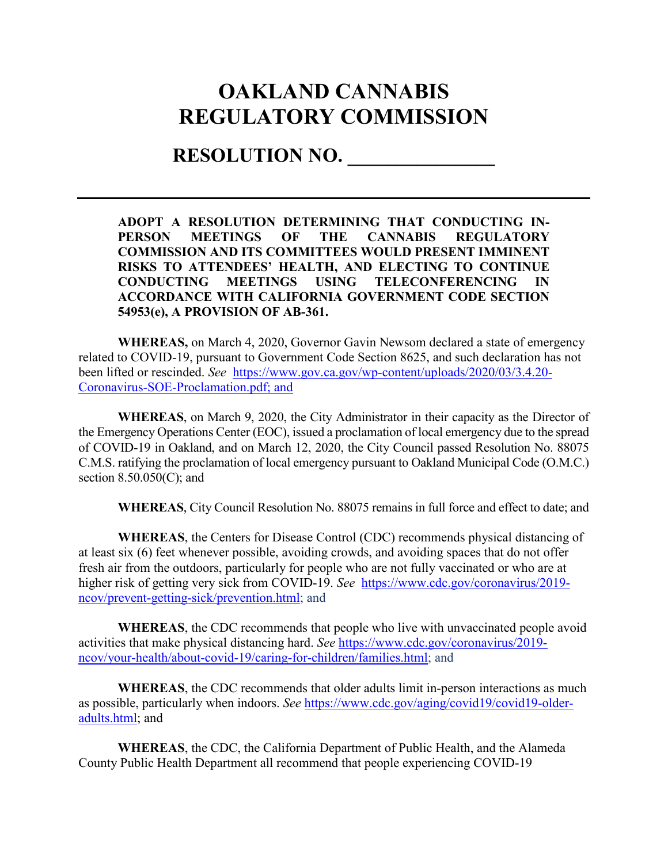## **OAKLAND CANNABIS REGULATORY COMMISSION**

### **RESOLUTION NO. \_\_\_\_\_\_\_\_\_\_\_\_\_\_\_**

**ADOPT A RESOLUTION DETERMINING THAT CONDUCTING IN-PERSON MEETINGS OF THE CANNABIS REGULATORY COMMISSION AND ITS COMMITTEES WOULD PRESENT IMMINENT RISKS TO ATTENDEES' HEALTH, AND ELECTING TO CONTINUE CONDUCTING MEETINGS USING TELECONFERENCING IN ACCORDANCE WITH CALIFORNIA GOVERNMENT CODE SECTION 54953(e), A PROVISION OF AB-361.**

**WHEREAS,** on March 4, 2020, Governor Gavin Newsom declared a state of emergency related to COVID-19, pursuant to Government Code Section 8625, and such declaration has not been lifted or rescinded. *See* [https://www.gov.ca.gov/wp-content/uploads/2020/03/3.4.20-](https://www.gov.ca.gov/wp-content/uploads/2020/03/3.4.20-Coronavirus-SOE-Proclamation.pdf) [Coronavirus-SOE-Proclamation.pdf;](https://www.gov.ca.gov/wp-content/uploads/2020/03/3.4.20-Coronavirus-SOE-Proclamation.pdf) and

**WHEREAS**, on March 9, 2020, the City Administrator in their capacity as the Director of the Emergency Operations Center (EOC), issued a proclamation of local emergency due to the spread of COVID-19 in Oakland, and on March 12, 2020, the City Council passed Resolution No. 88075 C.M.S. ratifying the proclamation of local emergency pursuant to Oakland Municipal Code (O.M.C.) section 8.50.050(C); and

**WHEREAS**, City Council Resolution No. 88075 remains in full force and effect to date; and

**WHEREAS**, the Centers for Disease Control (CDC) recommends physical distancing of at least six (6) feet whenever possible, avoiding crowds, and avoiding spaces that do not offer fresh air from the outdoors, particularly for people who are not fully vaccinated or who are at higher risk of getting very sick from COVID-19. *See* [https://www.cdc.gov/coronavirus/2019](https://www.cdc.gov/coronavirus/2019-ncov/prevent-getting-sick/prevention.html) [ncov/prevent-getting-sick/prevention.html;](https://www.cdc.gov/coronavirus/2019-ncov/prevent-getting-sick/prevention.html) and

**WHEREAS**, the CDC recommends that people who live with unvaccinated people avoid activities that make physical distancing hard. *See* [https://www.cdc.gov/coronavirus/2019](https://www.cdc.gov/coronavirus/2019-ncov/your-health/about-covid-19/caring-for-children/families.html) [ncov/your-health/about-covid-19/caring-for-children/families.html;](https://www.cdc.gov/coronavirus/2019-ncov/your-health/about-covid-19/caring-for-children/families.html) and

**WHEREAS**, the CDC recommends that older adults limit in-person interactions as much as possible, particularly when indoors. *See* [https://www.cdc.gov/aging/covid19/covid19-older](https://www.cdc.gov/aging/covid19/covid19-older-adults.html)[adults.html;](https://www.cdc.gov/aging/covid19/covid19-older-adults.html) and

**WHEREAS**, the CDC, the California Department of Public Health, and the Alameda County Public Health Department all recommend that people experiencing COVID-19